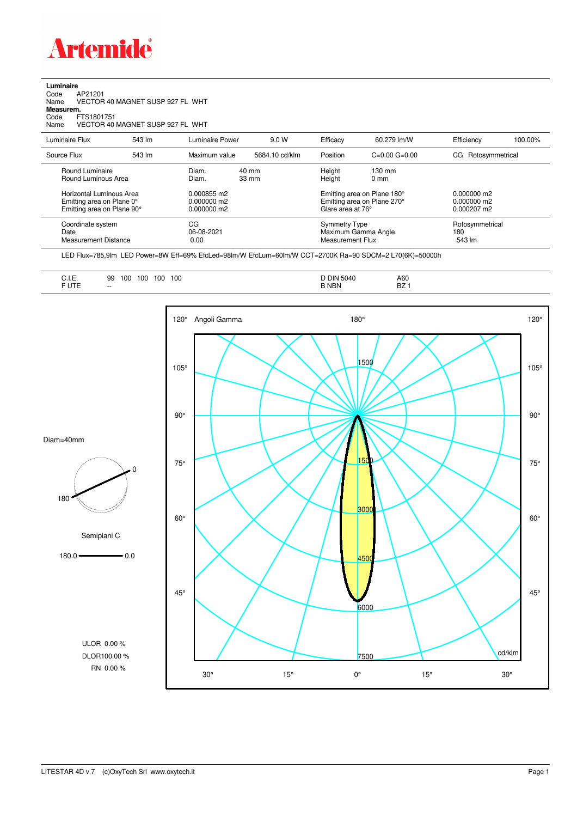

## **Luminaire** Code AP21201 Name VECTOR 40 MAGNET SUSP 927 FL WHT Code A<br>Name V<br>**Measurem.** Code FTS1801751<br>Name VECTOR 40 VECTOR 40 MAGNET SUSP 927 FL WHT Luminaire Flux 543 lm Luminaire Power 9.0 W Efficacy 60.279 lm/W Efficiency 100.00%

| Source Flux                                                                         | 543 lm | Maximum value                             | 5684.10 cd/klm           | Position                                                                        | $C=0.00$ $G=0.00$                  | CG Rotosymmetrical                                     |
|-------------------------------------------------------------------------------------|--------|-------------------------------------------|--------------------------|---------------------------------------------------------------------------------|------------------------------------|--------------------------------------------------------|
| Round Luminaire<br>Round Luminous Area                                              |        | Diam.<br>Diam.                            | 40 mm<br>$33 \text{ mm}$ | Height<br>Height                                                                | $130 \text{ mm}$<br>$0 \text{ mm}$ |                                                        |
| Horizontal Luminous Area<br>Emitting area on Plane 0°<br>Emitting area on Plane 90° |        | 0.000855 m2<br>0.000000 m2<br>0.000000 m2 |                          | Emitting area on Plane 180°<br>Emitting area on Plane 270°<br>Glare area at 76° |                                    | $0.000000$ m2<br>$0.000000$ m2<br>$0.000207 \text{ m}$ |
| Coordinate system<br>Date<br>Measurement Distance                                   |        | CG<br>06-08-2021<br>0.00                  |                          | Symmetry Type<br>Maximum Gamma Angle<br>Measurement Flux                        |                                    | Rotosymmetrical<br>180<br>543 lm                       |

LED Flux=785,9lm LED Power=8W Eff=69% EfcLed=98lm/W EfcLum=60lm/W CCT=2700K Ra=90 SDCM=2 L70(6K)=50000h